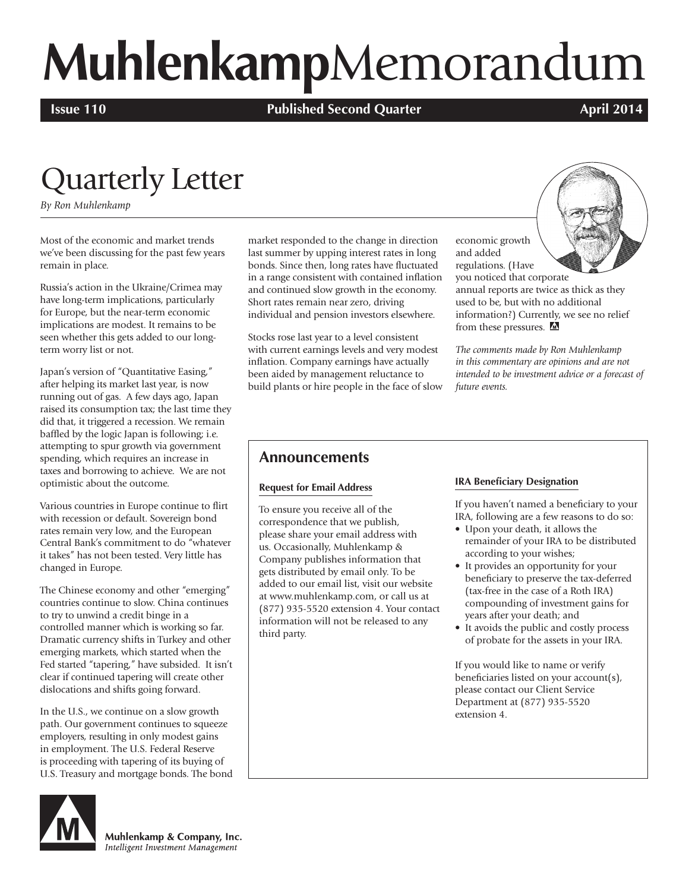# **Muhlenkamp**Memorandum

**Issue 110 Published Second Quarter April 2014 April 2014** 

# Quarterly Letter

*By Ron Muhlenkamp*

Most of the economic and market trends we've been discussing for the past few years remain in place.

Russia's action in the Ukraine/Crimea may have long-term implications, particularly for Europe, but the near-term economic implications are modest. It remains to be seen whether this gets added to our longterm worry list or not.

Japan's version of "Quantitative Easing," after helping its market last year, is now running out of gas. A few days ago, Japan raised its consumption tax; the last time they did that, it triggered a recession. We remain baffled by the logic Japan is following; i.e. attempting to spur growth via government spending, which requires an increase in taxes and borrowing to achieve. We are not optimistic about the outcome.

Various countries in Europe continue to flirt with recession or default. Sovereign bond rates remain very low, and the European Central Bank's commitment to do "whatever it takes" has not been tested. Very little has changed in Europe.

The Chinese economy and other "emerging" countries continue to slow. China continues to try to unwind a credit binge in a controlled manner which is working so far. Dramatic currency shifts in Turkey and other emerging markets, which started when the Fed started "tapering," have subsided. It isn't clear if continued tapering will create other dislocations and shifts going forward.

In the U.S., we continue on a slow growth path. Our government continues to squeeze employers, resulting in only modest gains in employment. The U.S. Federal Reserve is proceeding with tapering of its buying of U.S. Treasury and mortgage bonds. The bond



Muhlenkamp & Company, Inc. Intelligent Investment Management

market responded to the change in direction last summer by upping interest rates in long bonds. Since then, long rates have fluctuated in a range consistent with contained inflation and continued slow growth in the economy. Short rates remain near zero, driving individual and pension investors elsewhere.

Stocks rose last year to a level consistent with current earnings levels and very modest inflation. Company earnings have actually been aided by management reluctance to build plants or hire people in the face of slow

economic growth and added regulations. (Have



you noticed that corporate annual reports are twice as thick as they used to be, but with no additional information?) Currently, we see no relief from these pressures. M

*The comments made by Ron Muhlenkamp in this commentary are opinions and are not intended to be investment advice or a forecast of future events.*

#### **Announcements**

#### **Request for Email Address**

To ensure you receive all of the correspondence that we publish, please share your email address with us. Occasionally, Muhlenkamp & Company publishes information that gets distributed by email only. To be added to our email list, visit our website at www.muhlenkamp.com, or call us at (877) 935-5520 extension 4. Your contact information will not be released to any third party.

#### **IRA Beneficiary Designation**

If you haven't named a beneficiary to your IRA, following are a few reasons to do so:

- Upon your death, it allows the remainder of your IRA to be distributed according to your wishes;
- It provides an opportunity for your beneficiary to preserve the tax-deferred (tax-free in the case of a Roth IRA) compounding of investment gains for years after your death; and
- It avoids the public and costly process of probate for the assets in your IRA.

If you would like to name or verify beneficiaries listed on your account(s), please contact our Client Service Department at (877) 935-5520 extension 4.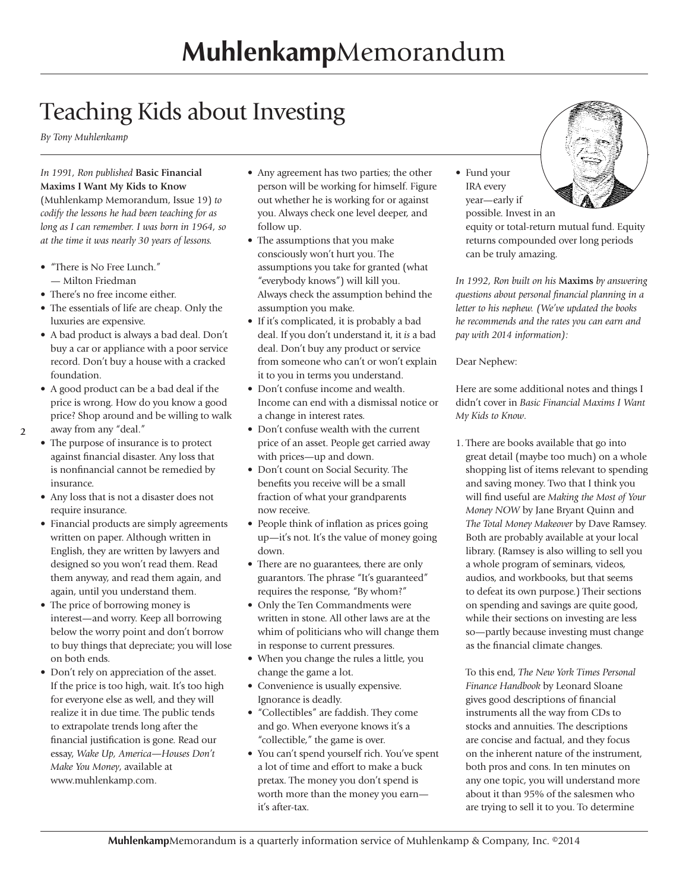## Teaching Kids about Investing

*By Tony Muhlenkamp*

#### *In 1991, Ron published* **Basic Financial Maxims I Want My Kids to Know**

(Muhlenkamp Memorandum, Issue 19) *to codify the lessons he had been teaching for as long as I can remember. I was born in 1964, so at the time it was nearly 30 years of lessons.*

- "There is No Free Lunch." — Milton Friedman
- There's no free income either.
- The essentials of life are cheap. Only the luxuries are expensive.
- A bad product is always a bad deal. Don't buy a car or appliance with a poor service record. Don't buy a house with a cracked foundation.
- A good product can be a bad deal if the price is wrong. How do you know a good price? Shop around and be willing to walk away from any "deal."
- **2**
	- The purpose of insurance is to protect against financial disaster. Any loss that is nonfinancial cannot be remedied by insurance.
	- Any loss that is not a disaster does not require insurance.
	- Financial products are simply agreements written on paper. Although written in English, they are written by lawyers and designed so you won't read them. Read them anyway, and read them again, and again, until you understand them.
	- The price of borrowing money is interest—and worry. Keep all borrowing below the worry point and don't borrow to buy things that depreciate; you will lose on both ends.
	- Don't rely on appreciation of the asset. If the price is too high, wait. It's too high for everyone else as well, and they will realize it in due time. The public tends to extrapolate trends long after the financial justification is gone. Read our essay, *Wake Up, America—Houses Don't Make You Money*, available at www.muhlenkamp.com.
- Any agreement has two parties; the other person will be working for himself. Figure out whether he is working for or against you. Always check one level deeper, and follow up.
- The assumptions that you make consciously won't hurt you. The assumptions you take for granted (what "everybody knows") will kill you. Always check the assumption behind the assumption you make.
- If it's complicated, it is probably a bad deal. If you don't understand it, it *is* a bad deal. Don't buy any product or service from someone who can't or won't explain it to you in terms you understand.
- Don't confuse income and wealth. Income can end with a dismissal notice or a change in interest rates.
- Don't confuse wealth with the current price of an asset. People get carried away with prices—up and down.
- Don't count on Social Security. The benefits you receive will be a small fraction of what your grandparents now receive.
- People think of inflation as prices going up—it's not. It's the value of money going down.
- There are no guarantees, there are only guarantors. The phrase "It's guaranteed" requires the response, "By whom?"
- Only the Ten Commandments were written in stone. All other laws are at the whim of politicians who will change them in response to current pressures.
- When you change the rules a little, you change the game a lot.
- Convenience is usually expensive. Ignorance is deadly.
- "Collectibles" are faddish. They come and go. When everyone knows it's a "collectible," the game is over.
- You can't spend yourself rich. You've spent a lot of time and effort to make a buck pretax. The money you don't spend is worth more than the money you earn it's after-tax.

• Fund your IRA every year—early if possible. Invest in an

equity or total-return mutual fund. Equity returns compounded over long periods can be truly amazing.

*In 1992, Ron built on his* **Maxims** *by answering questions about personal financial planning in a letter to his nephew. (We've updated the books he recommends and the rates you can earn and pay with 2014 information):*

Dear Nephew:

Here are some additional notes and things I didn't cover in *Basic Financial Maxims I Want My Kids to Know*.

1. There are books available that go into great detail (maybe too much) on a whole shopping list of items relevant to spending and saving money. Two that I think you will find useful are *Making the Most of Your Money NOW* by Jane Bryant Quinn and *The Total Money Makeover* by Dave Ramsey. Both are probably available at your local library. (Ramsey is also willing to sell you a whole program of seminars, videos, audios, and workbooks, but that seems to defeat its own purpose.) Their sections on spending and savings are quite good, while their sections on investing are less so—partly because investing must change as the financial climate changes.

To this end, *The New York Times Personal Finance Handbook* by Leonard Sloane gives good descriptions of financial instruments all the way from CDs to stocks and annuities. The descriptions are concise and factual, and they focus on the inherent nature of the instrument, both pros and cons. In ten minutes on any one topic, you will understand more about it than 95% of the salesmen who are trying to sell it to you. To determine

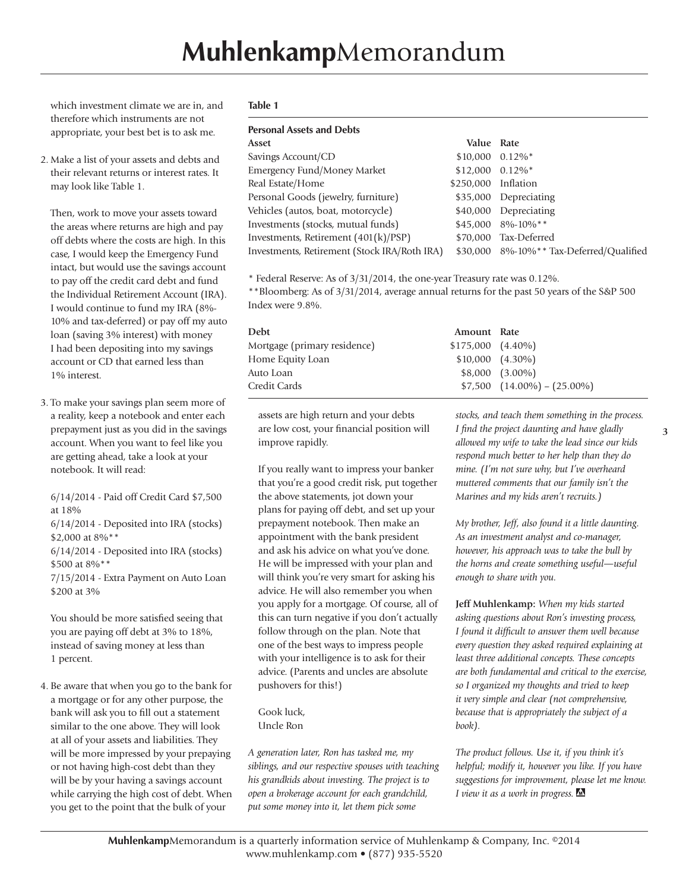which investment climate we are in, and therefore which instruments are not appropriate, your best bet is to ask me.

2. Make a list of your assets and debts and their relevant returns or interest rates. It may look like Table 1.

Then, work to move your assets toward the areas where returns are high and pay off debts where the costs are high. In this case, I would keep the Emergency Fund intact, but would use the savings account to pay off the credit card debt and fund the Individual Retirement Account (IRA). I would continue to fund my IRA (8%- 10% and tax-deferred) or pay off my auto loan (saving 3% interest) with money I had been depositing into my savings account or CD that earned less than 1% interest.

3. To make your savings plan seem more of a reality, keep a notebook and enter each prepayment just as you did in the savings account. When you want to feel like you are getting ahead, take a look at your notebook. It will read:

6/14/2014 - Paid off Credit Card \$7,500 at 18% 6/14/2014 - Deposited into IRA (stocks)

\$2,000 at 8%\*\* 6/14/2014 - Deposited into IRA (stocks)

\$500 at 8%\*\* 7/15/2014 - Extra Payment on Auto Loan \$200 at 3%

You should be more satisfied seeing that you are paying off debt at 3% to 18%, instead of saving money at less than 1 percent.

4. Be aware that when you go to the bank for a mortgage or for any other purpose, the bank will ask you to fill out a statement similar to the one above. They will look at all of your assets and liabilities. They will be more impressed by your prepaying or not having high-cost debt than they will be by your having a savings account while carrying the high cost of debt. When you get to the point that the bulk of your

#### **Table 1**

#### **Personal Assets and Debts**

**Asset Value Rate** Savings Account/CD  $$10,000 \quad 0.12\%$ \* Emergency Fund/Money Market \$12,000 0.12%\* Real Estate/Home \$250,000 Inflation Personal Goods (jewelry, furniture) \$35,000 Depreciating Vehicles (autos, boat, motorcycle) \$40,000 Depreciating Investments (stocks, mutual funds)  $$45,0008\%$ -10%\*\* Investments, Retirement (401(k)/PSP) \$70,000 Tax-Deferred Investments, Retirement (Stock IRA/Roth IRA) \$30,000 8%-10%\*\* Tax-Deferred/Qualified

\* Federal Reserve: As of 3/31/2014, the one-year Treasury rate was 0.12%.

\*\*Bloomberg: As of 3/31/2014, average annual returns for the past 50 years of the S&P 500 Index were 9.8%.

| <b>Debt</b>                  | Amount Rate           |                                  |
|------------------------------|-----------------------|----------------------------------|
| Mortgage (primary residence) | $$175,000$ $(4.40\%)$ |                                  |
| Home Equity Loan             | $$10,000$ $(4.30\%)$  |                                  |
| Auto Loan                    |                       | $$8,000$ $(3.00\%)$              |
| Credit Cards                 |                       | $$7,500$ $(14.00\%) - (25.00\%)$ |

assets are high return and your debts are low cost, your financial position will improve rapidly.

If you really want to impress your banker that you're a good credit risk, put together the above statements, jot down your plans for paying off debt, and set up your prepayment notebook. Then make an appointment with the bank president and ask his advice on what you've done. He will be impressed with your plan and will think you're very smart for asking his advice. He will also remember you when you apply for a mortgage. Of course, all of this can turn negative if you don't actually follow through on the plan. Note that one of the best ways to impress people with your intelligence is to ask for their advice. (Parents and uncles are absolute pushovers for this!)

Gook luck, Uncle Ron

*A generation later, Ron has tasked me, my siblings, and our respective spouses with teaching his grandkids about investing. The project is to open a brokerage account for each grandchild, put some money into it, let them pick some* 

*stocks, and teach them something in the process. I find the project daunting and have gladly allowed my wife to take the lead since our kids respond much better to her help than they do mine. (I'm not sure why, but I've overheard muttered comments that our family isn't the Marines and my kids aren't recruits.)*

*My brother, Jeff, also found it a little daunting. As an investment analyst and co-manager, however, his approach was to take the bull by the horns and create something useful—useful enough to share with you.* 

**Jeff Muhlenkamp:** *When my kids started asking questions about Ron's investing process, I found it difficult to answer them well because every question they asked required explaining at least three additional concepts. These concepts are both fundamental and critical to the exercise, so I organized my thoughts and tried to keep it very simple and clear (not comprehensive, because that is appropriately the subject of a book).* 

*The product follows. Use it, if you think it's helpful; modify it, however you like. If you have suggestions for improvement, please let me know. I view it as a work in progress.*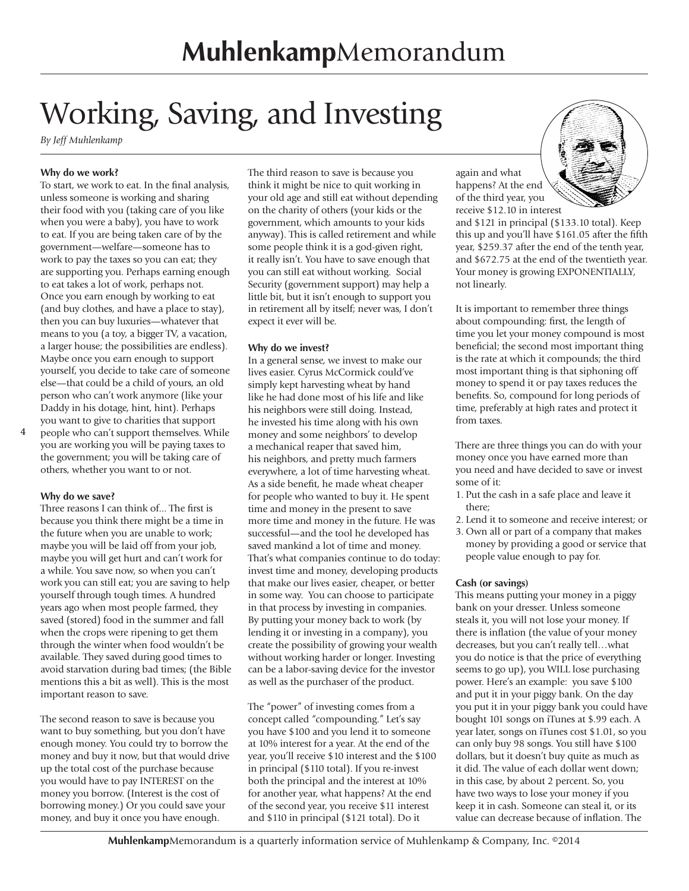# Working, Saving, and Investing

*By Jeff Muhlenkamp* 

#### **Why do we work?**

To start, we work to eat. In the final analysis, unless someone is working and sharing their food with you (taking care of you like when you were a baby), you have to work to eat. If you are being taken care of by the government—welfare—someone has to work to pay the taxes so you can eat; they are supporting you. Perhaps earning enough to eat takes a lot of work, perhaps not. Once you earn enough by working to eat (and buy clothes, and have a place to stay), then you can buy luxuries—whatever that means to you (a toy, a bigger TV, a vacation, a larger house; the possibilities are endless). Maybe once you earn enough to support yourself, you decide to take care of someone else—that could be a child of yours, an old person who can't work anymore (like your Daddy in his dotage, hint, hint). Perhaps you want to give to charities that support

people who can't support themselves. While you are working you will be paying taxes to the government; you will be taking care of others, whether you want to or not.

#### **Why do we save?**

Three reasons I can think of... The first is because you think there might be a time in the future when you are unable to work; maybe you will be laid off from your job, maybe you will get hurt and can't work for a while. You save now, so when you can't work you can still eat; you are saving to help yourself through tough times. A hundred years ago when most people farmed, they saved (stored) food in the summer and fall when the crops were ripening to get them through the winter when food wouldn't be available. They saved during good times to avoid starvation during bad times; (the Bible mentions this a bit as well). This is the most important reason to save.

The second reason to save is because you want to buy something, but you don't have enough money. You could try to borrow the money and buy it now, but that would drive up the total cost of the purchase because you would have to pay INTEREST on the money you borrow. (Interest is the cost of borrowing money.) Or you could save your money, and buy it once you have enough.

The third reason to save is because you think it might be nice to quit working in your old age and still eat without depending on the charity of others (your kids or the government, which amounts to your kids anyway). This is called retirement and while some people think it is a god-given right, it really isn't. You have to save enough that you can still eat without working. Social Security (government support) may help a little bit, but it isn't enough to support you in retirement all by itself; never was, I don't expect it ever will be.

#### **Why do we invest?**

In a general sense, we invest to make our lives easier. Cyrus McCormick could've simply kept harvesting wheat by hand like he had done most of his life and like his neighbors were still doing. Instead, he invested his time along with his own money and some neighbors' to develop a mechanical reaper that saved him, his neighbors, and pretty much farmers everywhere, a lot of time harvesting wheat. As a side benefit, he made wheat cheaper for people who wanted to buy it. He spent time and money in the present to save more time and money in the future. He was successful—and the tool he developed has saved mankind a lot of time and money. That's what companies continue to do today: invest time and money, developing products that make our lives easier, cheaper, or better in some way. You can choose to participate in that process by investing in companies. By putting your money back to work (by lending it or investing in a company), you create the possibility of growing your wealth without working harder or longer. Investing can be a labor-saving device for the investor as well as the purchaser of the product.

The "power" of investing comes from a concept called "compounding." Let's say you have \$100 and you lend it to someone at 10% interest for a year. At the end of the year, you'll receive \$10 interest and the \$100 in principal (\$110 total). If you re-invest both the principal and the interest at 10% for another year, what happens? At the end of the second year, you receive \$11 interest and \$110 in principal (\$121 total). Do it

again and what happens? At the end of the third year, you receive \$12.10 in interest

and \$121 in principal (\$133.10 total). Keep this up and you'll have \$161.05 after the fifth year, \$259.37 after the end of the tenth year, and \$672.75 at the end of the twentieth year. Your money is growing EXPONENTIALLY, not linearly.

It is important to remember three things about compounding: first, the length of time you let your money compound is most beneficial; the second most important thing is the rate at which it compounds; the third most important thing is that siphoning off money to spend it or pay taxes reduces the benefits. So, compound for long periods of time, preferably at high rates and protect it from taxes.

There are three things you can do with your money once you have earned more than you need and have decided to save or invest some of it:

- 1. Put the cash in a safe place and leave it there;
- 2. Lend it to someone and receive interest; or
- 3. Own all or part of a company that makes money by providing a good or service that people value enough to pay for.

#### **Cash (or savings)**

This means putting your money in a piggy bank on your dresser. Unless someone steals it, you will not lose your money. If there is inflation (the value of your money decreases, but you can't really tell…what you do notice is that the price of everything seems to go up), you WILL lose purchasing power. Here's an example: you save \$100 and put it in your piggy bank. On the day you put it in your piggy bank you could have bought 101 songs on iTunes at \$.99 each. A year later, songs on iTunes cost \$1.01, so you can only buy 98 songs. You still have \$100 dollars, but it doesn't buy quite as much as it did. The value of each dollar went down; in this case, by about 2 percent. So, you have two ways to lose your money if you keep it in cash. Someone can steal it, or its value can decrease because of inflation. The

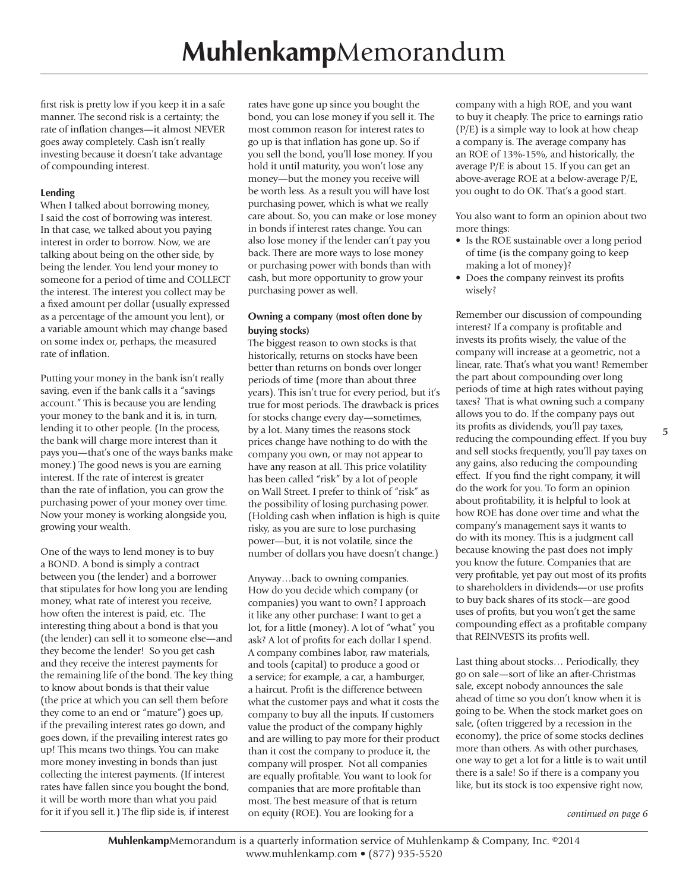first risk is pretty low if you keep it in a safe manner. The second risk is a certainty; the rate of inflation changes—it almost NEVER goes away completely. Cash isn't really investing because it doesn't take advantage of compounding interest.

#### **Lending**

When I talked about borrowing money, I said the cost of borrowing was interest. In that case, we talked about you paying interest in order to borrow. Now, we are talking about being on the other side, by being the lender. You lend your money to someone for a period of time and COLLECT the interest. The interest you collect may be a fixed amount per dollar (usually expressed as a percentage of the amount you lent), or a variable amount which may change based on some index or, perhaps, the measured rate of inflation.

Putting your money in the bank isn't really saving, even if the bank calls it a "savings account." This is because you are lending your money to the bank and it is, in turn, lending it to other people. (In the process, the bank will charge more interest than it pays you—that's one of the ways banks make money.) The good news is you are earning interest. If the rate of interest is greater than the rate of inflation, you can grow the purchasing power of your money over time. Now your money is working alongside you, growing your wealth.

One of the ways to lend money is to buy a BOND. A bond is simply a contract between you (the lender) and a borrower that stipulates for how long you are lending money, what rate of interest you receive, how often the interest is paid, etc. The interesting thing about a bond is that you (the lender) can sell it to someone else—and they become the lender! So you get cash and they receive the interest payments for the remaining life of the bond. The key thing to know about bonds is that their value (the price at which you can sell them before they come to an end or "mature") goes up, if the prevailing interest rates go down, and goes down, if the prevailing interest rates go up! This means two things. You can make more money investing in bonds than just collecting the interest payments. (If interest rates have fallen since you bought the bond, it will be worth more than what you paid

rates have gone up since you bought the bond, you can lose money if you sell it. The most common reason for interest rates to go up is that inflation has gone up. So if you sell the bond, you'll lose money. If you hold it until maturity, you won't lose any money—but the money you receive will be worth less. As a result you will have lost purchasing power, which is what we really care about. So, you can make or lose money in bonds if interest rates change. You can also lose money if the lender can't pay you back. There are more ways to lose money or purchasing power with bonds than with cash, but more opportunity to grow your purchasing power as well.

#### **Owning a company (most often done by buying stocks)**

The biggest reason to own stocks is that historically, returns on stocks have been better than returns on bonds over longer periods of time (more than about three years). This isn't true for every period, but it's true for most periods. The drawback is prices for stocks change every day—sometimes, by a lot. Many times the reasons stock prices change have nothing to do with the company you own, or may not appear to have any reason at all. This price volatility has been called "risk" by a lot of people on Wall Street. I prefer to think of "risk" as the possibility of losing purchasing power. (Holding cash when inflation is high is quite risky, as you are sure to lose purchasing power—but, it is not volatile, since the number of dollars you have doesn't change.)

for it if you sell it.) The flip side is, if interest *continued on page 6* Anyway…back to owning companies. How do you decide which company (or companies) you want to own? I approach it like any other purchase: I want to get a lot, for a little (money). A lot of "what" you ask? A lot of profits for each dollar I spend. A company combines labor, raw materials, and tools (capital) to produce a good or a service; for example, a car, a hamburger, a haircut. Profit is the difference between what the customer pays and what it costs the company to buy all the inputs. If customers value the product of the company highly and are willing to pay more for their product than it cost the company to produce it, the company will prosper. Not all companies are equally profitable. You want to look for companies that are more profitable than most. The best measure of that is return on equity (ROE). You are looking for a

company with a high ROE, and you want to buy it cheaply. The price to earnings ratio (P/E) is a simple way to look at how cheap a company is. The average company has an ROE of 13%-15%, and historically, the average P/E is about 15. If you can get an above-average ROE at a below-average P/E, you ought to do OK. That's a good start.

You also want to form an opinion about two more things:

- Is the ROE sustainable over a long period of time (is the company going to keep making a lot of money)?
- Does the company reinvest its profits wisely?

Remember our discussion of compounding interest? If a company is profitable and invests its profits wisely, the value of the company will increase at a geometric, not a linear, rate. That's what you want! Remember the part about compounding over long periods of time at high rates without paying taxes? That is what owning such a company allows you to do. If the company pays out its profits as dividends, you'll pay taxes, reducing the compounding effect. If you buy and sell stocks frequently, you'll pay taxes on any gains, also reducing the compounding effect. If you find the right company, it will do the work for you. To form an opinion about profitability, it is helpful to look at how ROE has done over time and what the company's management says it wants to do with its money. This is a judgment call because knowing the past does not imply you know the future. Companies that are very profitable, yet pay out most of its profits to shareholders in dividends—or use profits to buy back shares of its stock—are good uses of profits, but you won't get the same compounding effect as a profitable company that REINVESTS its profits well.

Last thing about stocks… Periodically, they go on sale—sort of like an after-Christmas sale, except nobody announces the sale ahead of time so you don't know when it is going to be. When the stock market goes on sale, (often triggered by a recession in the economy), the price of some stocks declines more than others. As with other purchases, one way to get a lot for a little is to wait until there is a sale! So if there is a company you like, but its stock is too expensive right now,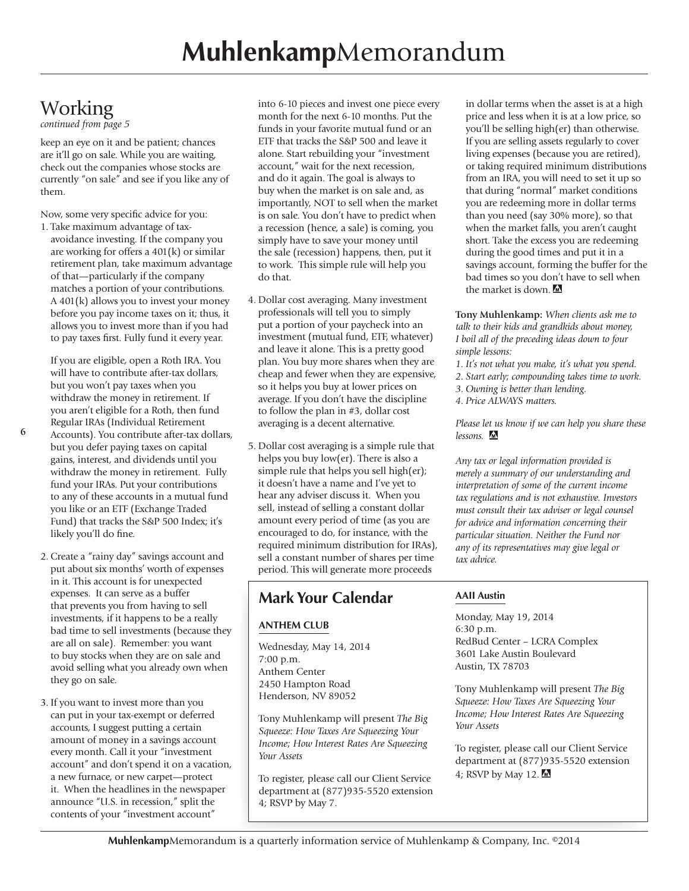### **Working**

*continued from page 5*

keep an eye on it and be patient; chances are it'll go on sale. While you are waiting, check out the companies whose stocks are currently "on sale" and see if you like any of them.

Now, some very specific advice for you:

1. Take maximum advantage of taxavoidance investing. If the company you are working for offers a 401(k) or similar retirement plan, take maximum advantage of that—particularly if the company matches a portion of your contributions. A 401(k) allows you to invest your money before you pay income taxes on it; thus, it allows you to invest more than if you had to pay taxes first. Fully fund it every year.

If you are eligible, open a Roth IRA. You will have to contribute after-tax dollars, but you won't pay taxes when you withdraw the money in retirement. If you aren't eligible for a Roth, then fund Regular IRAs (Individual Retirement Accounts). You contribute after-tax dollars, but you defer paying taxes on capital gains, interest, and dividends until you withdraw the money in retirement. Fully fund your IRAs. Put your contributions to any of these accounts in a mutual fund you like or an ETF (Exchange Traded

Fund) that tracks the S&P 500 Index; it's likely you'll do fine. 2. Create a "rainy day" savings account and put about six months' worth of expenses in it. This account is for unexpected expenses. It can serve as a buffer that prevents you from having to sell investments, if it happens to be a really bad time to sell investments (because they are all on sale). Remember: you want

to buy stocks when they are on sale and avoid selling what you already own when they go on sale.

3. If you want to invest more than you can put in your tax-exempt or deferred accounts, I suggest putting a certain amount of money in a savings account every month. Call it your "investment account" and don't spend it on a vacation, a new furnace, or new carpet—protect it. When the headlines in the newspaper announce "U.S. in recession," split the contents of your "investment account"

into 6-10 pieces and invest one piece every month for the next 6-10 months. Put the funds in your favorite mutual fund or an ETF that tracks the S&P 500 and leave it alone. Start rebuilding your "investment account," wait for the next recession, and do it again. The goal is always to buy when the market is on sale and, as importantly, NOT to sell when the market is on sale. You don't have to predict when a recession (hence, a sale) is coming, you simply have to save your money until the sale (recession) happens, then, put it to work. This simple rule will help you do that.

- 4. Dollar cost averaging. Many investment professionals will tell you to simply put a portion of your paycheck into an investment (mutual fund, ETF, whatever) and leave it alone. This is a pretty good plan. You buy more shares when they are cheap and fewer when they are expensive, so it helps you buy at lower prices on average. If you don't have the discipline to follow the plan in #3, dollar cost averaging is a decent alternative.
- 5. Dollar cost averaging is a simple rule that helps you buy low(er). There is also a simple rule that helps you sell high(er); it doesn't have a name and I've yet to hear any adviser discuss it. When you sell, instead of selling a constant dollar amount every period of time (as you are encouraged to do, for instance, with the required minimum distribution for IRAs), sell a constant number of shares per time period. This will generate more proceeds

#### **Mark Your Calendar**

#### **ANTHEM CLUB**

Wednesday, May 14, 2014 7:00 p.m. Anthem Center 2450 Hampton Road Henderson, NV 89052

Tony Muhlenkamp will present *The Big Squeeze: How Taxes Are Squeezing Your Income; How Interest Rates Are Squeezing Your Assets*

To register, please call our Client Service department at (877)935-5520 extension 4; RSVP by May 7.

in dollar terms when the asset is at a high price and less when it is at a low price, so you'll be selling high(er) than otherwise. If you are selling assets regularly to cover living expenses (because you are retired), or taking required minimum distributions from an IRA, you will need to set it up so that during "normal" market conditions you are redeeming more in dollar terms than you need (say 30% more), so that when the market falls, you aren't caught short. Take the excess you are redeeming during the good times and put it in a savings account, forming the buffer for the bad times so you don't have to sell when the market is down

**Tony Muhlenkamp:** *When clients ask me to talk to their kids and grandkids about money, I boil all of the preceding ideas down to four simple lessons:*

- *1. It's not what you make, it's what you spend.*
- *2. Start early; compounding takes time to work.*
- *3. Owning is better than lending.*
- *4. Price ALWAYS matters.*

*Please let us know if we can help you share these lessons.* 

*Any tax or legal information provided is merely a summary of our understanding and interpretation of some of the current income tax regulations and is not exhaustive. Investors must consult their tax adviser or legal counsel for advice and information concerning their particular situation. Neither the Fund nor any of its representatives may give legal or tax advice.*

#### **AAII Austin**

Monday, May 19, 2014 6:30 p.m. RedBud Center – LCRA Complex 3601 Lake Austin Boulevard Austin, TX 78703

Tony Muhlenkamp will present *The Big Squeeze: How Taxes Are Squeezing Your Income; How Interest Rates Are Squeezing Your Assets*

To register, please call our Client Service department at (877)935-5520 extension 4; RSVP by May 12.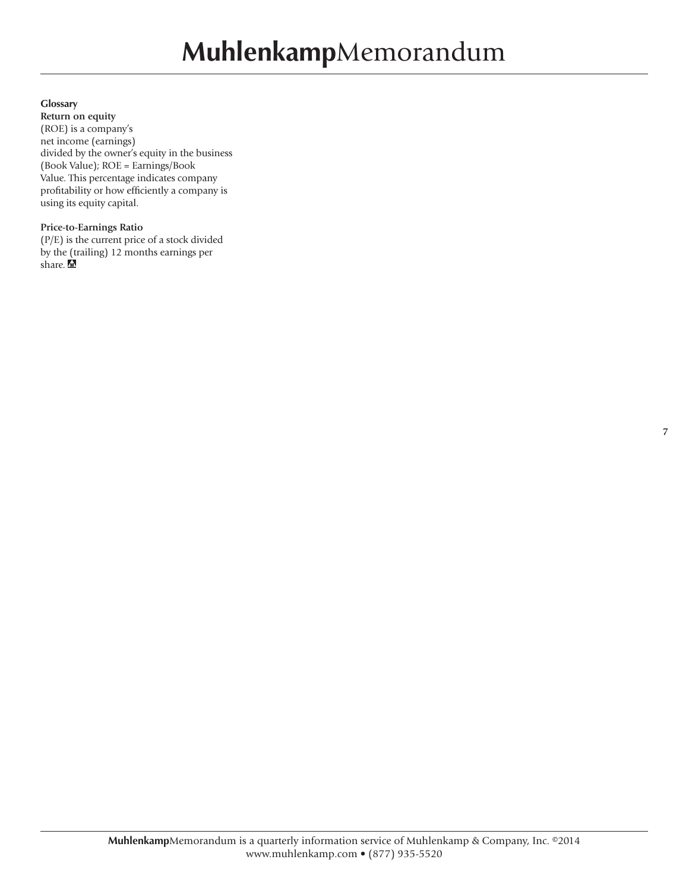#### **Glossary**

**Return on equity**  (ROE) is a company's net income (earnings) divided by the owner's equity in the business (Book Value); ROE = Earnings/Book Value. This percentage indicates company profitability or how efficiently a company is using its equity capital.

#### **Price-to-Earnings Ratio**

(P/E) is the current price of a stock divided by the (trailing) 12 months earnings per share.  $\triangle$